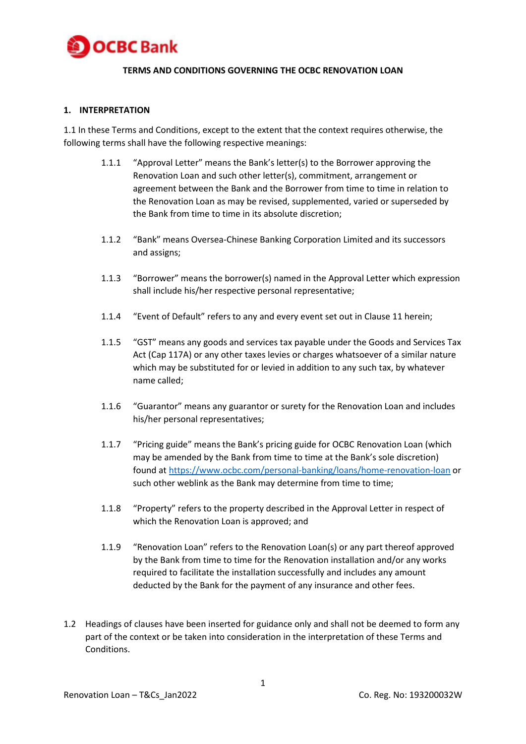

## **TERMS AND CONDITIONS GOVERNING THE OCBC RENOVATION LOAN**

### **1. INTERPRETATION**

1.1 In these Terms and Conditions, except to the extent that the context requires otherwise, the following terms shall have the following respective meanings:

- 1.1.1 "Approval Letter" means the Bank's letter(s) to the Borrower approving the Renovation Loan and such other letter(s), commitment, arrangement or agreement between the Bank and the Borrower from time to time in relation to the Renovation Loan as may be revised, supplemented, varied or superseded by the Bank from time to time in its absolute discretion;
- 1.1.2 "Bank" means Oversea-Chinese Banking Corporation Limited and its successors and assigns;
- 1.1.3 "Borrower" means the borrower(s) named in the Approval Letter which expression shall include his/her respective personal representative;
- 1.1.4 "Event of Default" refers to any and every event set out in Clause 11 herein;
- 1.1.5 "GST" means any goods and services tax payable under the Goods and Services Tax Act (Cap 117A) or any other taxes levies or charges whatsoever of a similar nature which may be substituted for or levied in addition to any such tax, by whatever name called;
- 1.1.6 "Guarantor" means any guarantor or surety for the Renovation Loan and includes his/her personal representatives;
- 1.1.7 "Pricing guide" means the Bank's pricing guide for OCBC Renovation Loan (which may be amended by the Bank from time to time at the Bank's sole discretion) found at<https://www.ocbc.com/personal-banking/loans/home-renovation-loan> or such other weblink as the Bank may determine from time to time;
- 1.1.8 "Property" refers to the property described in the Approval Letter in respect of which the Renovation Loan is approved; and
- 1.1.9 "Renovation Loan" refers to the Renovation Loan(s) or any part thereof approved by the Bank from time to time for the Renovation installation and/or any works required to facilitate the installation successfully and includes any amount deducted by the Bank for the payment of any insurance and other fees.
- 1.2 Headings of clauses have been inserted for guidance only and shall not be deemed to form any part of the context or be taken into consideration in the interpretation of these Terms and Conditions.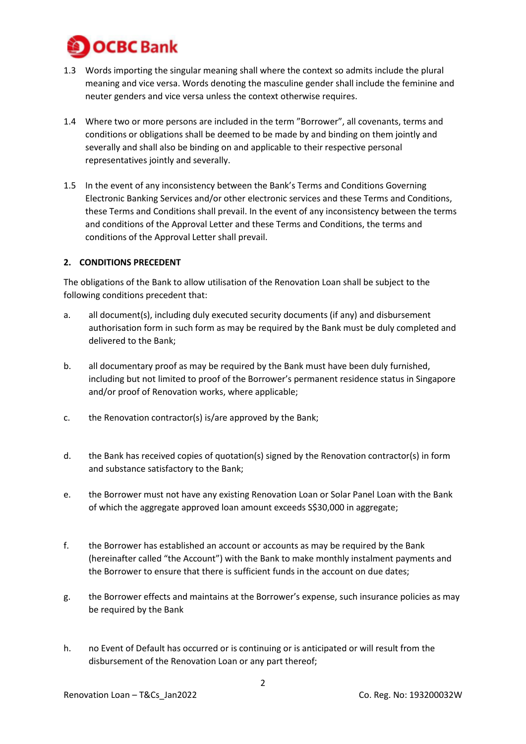

- 1.3 Words importing the singular meaning shall where the context so admits include the plural meaning and vice versa. Words denoting the masculine gender shall include the feminine and neuter genders and vice versa unless the context otherwise requires.
- 1.4 Where two or more persons are included in the term "Borrower", all covenants, terms and conditions or obligations shall be deemed to be made by and binding on them jointly and severally and shall also be binding on and applicable to their respective personal representatives jointly and severally.
- 1.5 In the event of any inconsistency between the Bank's Terms and Conditions Governing Electronic Banking Services and/or other electronic services and these Terms and Conditions, these Terms and Conditions shall prevail. In the event of any inconsistency between the terms and conditions of the Approval Letter and these Terms and Conditions, the terms and conditions of the Approval Letter shall prevail.

### **2. CONDITIONS PRECEDENT**

The obligations of the Bank to allow utilisation of the Renovation Loan shall be subject to the following conditions precedent that:

- a. all document(s), including duly executed security documents (if any) and disbursement authorisation form in such form as may be required by the Bank must be duly completed and delivered to the Bank;
- b. all documentary proof as may be required by the Bank must have been duly furnished, including but not limited to proof of the Borrower's permanent residence status in Singapore and/or proof of Renovation works, where applicable;
- c. the Renovation contractor(s) is/are approved by the Bank;
- d. the Bank has received copies of quotation(s) signed by the Renovation contractor(s) in form and substance satisfactory to the Bank;
- e. the Borrower must not have any existing Renovation Loan or Solar Panel Loan with the Bank of which the aggregate approved loan amount exceeds S\$30,000 in aggregate;
- f. the Borrower has established an account or accounts as may be required by the Bank (hereinafter called "the Account") with the Bank to make monthly instalment payments and the Borrower to ensure that there is sufficient funds in the account on due dates;
- g. the Borrower effects and maintains at the Borrower's expense, such insurance policies as may be required by the Bank
- h. no Event of Default has occurred or is continuing or is anticipated or will result from the disbursement of the Renovation Loan or any part thereof;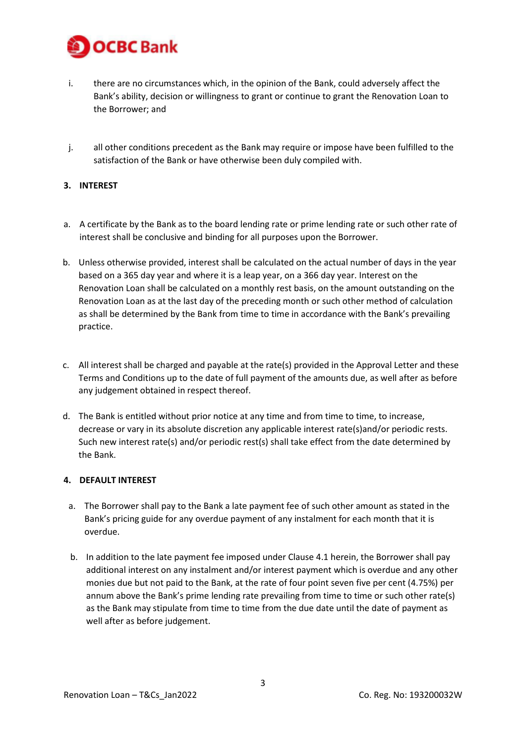

- i. there are no circumstances which, in the opinion of the Bank, could adversely affect the Bank's ability, decision or willingness to grant or continue to grant the Renovation Loan to the Borrower; and
- j. all other conditions precedent as the Bank may require or impose have been fulfilled to the satisfaction of the Bank or have otherwise been duly compiled with.

## **3. INTEREST**

- a. A certificate by the Bank as to the board lending rate or prime lending rate or such other rate of interest shall be conclusive and binding for all purposes upon the Borrower.
- b. Unless otherwise provided, interest shall be calculated on the actual number of days in the year based on a 365 day year and where it is a leap year, on a 366 day year. Interest on the Renovation Loan shall be calculated on a monthly rest basis, on the amount outstanding on the Renovation Loan as at the last day of the preceding month or such other method of calculation as shall be determined by the Bank from time to time in accordance with the Bank's prevailing practice.
- c. All interest shall be charged and payable at the rate(s) provided in the Approval Letter and these Terms and Conditions up to the date of full payment of the amounts due, as well after as before any judgement obtained in respect thereof.
- d. The Bank is entitled without prior notice at any time and from time to time, to increase, decrease or vary in its absolute discretion any applicable interest rate(s)and/or periodic rests. Such new interest rate(s) and/or periodic rest(s) shall take effect from the date determined by the Bank.

## **4. DEFAULT INTEREST**

- a. The Borrower shall pay to the Bank a late payment fee of such other amount as stated in the Bank's pricing guide for any overdue payment of any instalment for each month that it is overdue.
- b. In addition to the late payment fee imposed under Clause 4.1 herein, the Borrower shall pay additional interest on any instalment and/or interest payment which is overdue and any other monies due but not paid to the Bank, at the rate of four point seven five per cent (4.75%) per annum above the Bank's prime lending rate prevailing from time to time or such other rate(s) as the Bank may stipulate from time to time from the due date until the date of payment as well after as before judgement.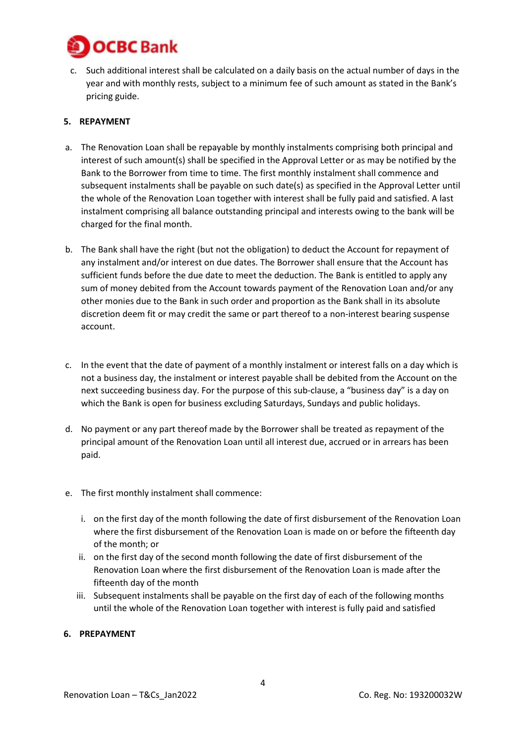

c. Such additional interest shall be calculated on a daily basis on the actual number of days in the year and with monthly rests, subject to a minimum fee of such amount as stated in the Bank's pricing guide.

## **5. REPAYMENT**

- a. The Renovation Loan shall be repayable by monthly instalments comprising both principal and interest of such amount(s) shall be specified in the Approval Letter or as may be notified by the Bank to the Borrower from time to time. The first monthly instalment shall commence and subsequent instalments shall be payable on such date(s) as specified in the Approval Letter until the whole of the Renovation Loan together with interest shall be fully paid and satisfied. A last instalment comprising all balance outstanding principal and interests owing to the bank will be charged for the final month.
- b. The Bank shall have the right (but not the obligation) to deduct the Account for repayment of any instalment and/or interest on due dates. The Borrower shall ensure that the Account has sufficient funds before the due date to meet the deduction. The Bank is entitled to apply any sum of money debited from the Account towards payment of the Renovation Loan and/or any other monies due to the Bank in such order and proportion as the Bank shall in its absolute discretion deem fit or may credit the same or part thereof to a non-interest bearing suspense account.
- c. In the event that the date of payment of a monthly instalment or interest falls on a day which is not a business day, the instalment or interest payable shall be debited from the Account on the next succeeding business day. For the purpose of this sub-clause, a "business day" is a day on which the Bank is open for business excluding Saturdays, Sundays and public holidays.
- d. No payment or any part thereof made by the Borrower shall be treated as repayment of the principal amount of the Renovation Loan until all interest due, accrued or in arrears has been paid.
- e. The first monthly instalment shall commence:
	- i. on the first day of the month following the date of first disbursement of the Renovation Loan where the first disbursement of the Renovation Loan is made on or before the fifteenth day of the month; or
	- ii. on the first day of the second month following the date of first disbursement of the Renovation Loan where the first disbursement of the Renovation Loan is made after the fifteenth day of the month
	- iii. Subsequent instalments shall be payable on the first day of each of the following months until the whole of the Renovation Loan together with interest is fully paid and satisfied

# **6. PREPAYMENT**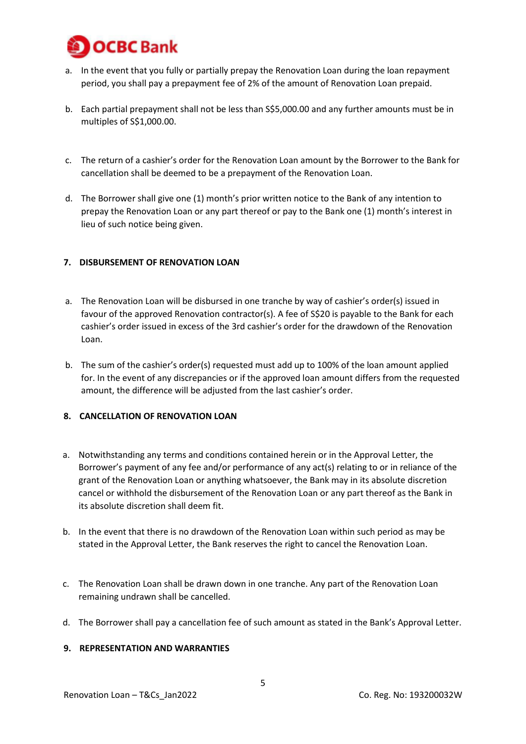

- a. In the event that you fully or partially prepay the Renovation Loan during the loan repayment period, you shall pay a prepayment fee of 2% of the amount of Renovation Loan prepaid.
- b. Each partial prepayment shall not be less than S\$5,000.00 and any further amounts must be in multiples of S\$1,000.00.
- c. The return of a cashier's order for the Renovation Loan amount by the Borrower to the Bank for cancellation shall be deemed to be a prepayment of the Renovation Loan.
- d. The Borrower shall give one (1) month's prior written notice to the Bank of any intention to prepay the Renovation Loan or any part thereof or pay to the Bank one (1) month's interest in lieu of such notice being given.

### **7. DISBURSEMENT OF RENOVATION LOAN**

- a. The Renovation Loan will be disbursed in one tranche by way of cashier's order(s) issued in favour of the approved Renovation contractor(s). A fee of S\$20 is payable to the Bank for each cashier's order issued in excess of the 3rd cashier's order for the drawdown of the Renovation Loan.
- b. The sum of the cashier's order(s) requested must add up to 100% of the loan amount applied for. In the event of any discrepancies or if the approved loan amount differs from the requested amount, the difference will be adjusted from the last cashier's order.

### **8. CANCELLATION OF RENOVATION LOAN**

- a. Notwithstanding any terms and conditions contained herein or in the Approval Letter, the Borrower's payment of any fee and/or performance of any act(s) relating to or in reliance of the grant of the Renovation Loan or anything whatsoever, the Bank may in its absolute discretion cancel or withhold the disbursement of the Renovation Loan or any part thereof as the Bank in its absolute discretion shall deem fit.
- b. In the event that there is no drawdown of the Renovation Loan within such period as may be stated in the Approval Letter, the Bank reserves the right to cancel the Renovation Loan.
- c. The Renovation Loan shall be drawn down in one tranche. Any part of the Renovation Loan remaining undrawn shall be cancelled.
- d. The Borrower shall pay a cancellation fee of such amount as stated in the Bank's Approval Letter.

### **9. REPRESENTATION AND WARRANTIES**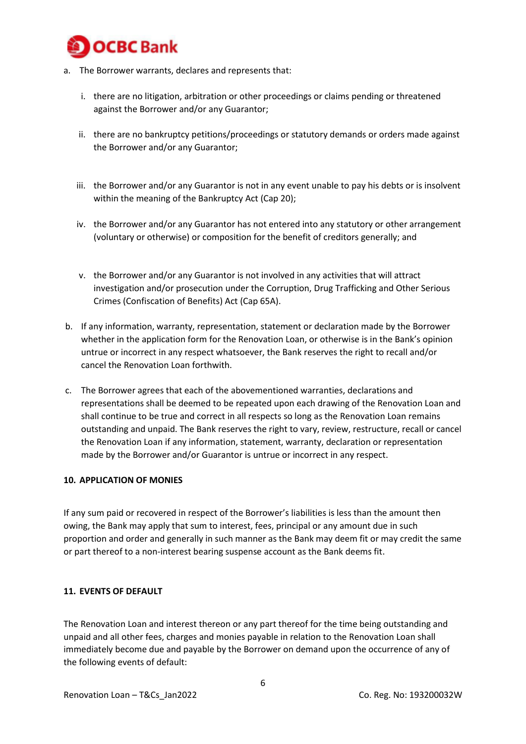

- a. The Borrower warrants, declares and represents that:
	- i. there are no litigation, arbitration or other proceedings or claims pending or threatened against the Borrower and/or any Guarantor;
	- ii. there are no bankruptcy petitions/proceedings or statutory demands or orders made against the Borrower and/or any Guarantor;
	- iii. the Borrower and/or any Guarantor is not in any event unable to pay his debts or is insolvent within the meaning of the Bankruptcy Act (Cap 20);
	- iv. the Borrower and/or any Guarantor has not entered into any statutory or other arrangement (voluntary or otherwise) or composition for the benefit of creditors generally; and
	- v. the Borrower and/or any Guarantor is not involved in any activities that will attract investigation and/or prosecution under the Corruption, Drug Trafficking and Other Serious Crimes (Confiscation of Benefits) Act (Cap 65A).
- b. If any information, warranty, representation, statement or declaration made by the Borrower whether in the application form for the Renovation Loan, or otherwise is in the Bank's opinion untrue or incorrect in any respect whatsoever, the Bank reserves the right to recall and/or cancel the Renovation Loan forthwith.
- c. The Borrower agrees that each of the abovementioned warranties, declarations and representations shall be deemed to be repeated upon each drawing of the Renovation Loan and shall continue to be true and correct in all respects so long as the Renovation Loan remains outstanding and unpaid. The Bank reserves the right to vary, review, restructure, recall or cancel the Renovation Loan if any information, statement, warranty, declaration or representation made by the Borrower and/or Guarantor is untrue or incorrect in any respect.

### **10. APPLICATION OF MONIES**

If any sum paid or recovered in respect of the Borrower's liabilities is less than the amount then owing, the Bank may apply that sum to interest, fees, principal or any amount due in such proportion and order and generally in such manner as the Bank may deem fit or may credit the same or part thereof to a non-interest bearing suspense account as the Bank deems fit.

### **11. EVENTS OF DEFAULT**

The Renovation Loan and interest thereon or any part thereof for the time being outstanding and unpaid and all other fees, charges and monies payable in relation to the Renovation Loan shall immediately become due and payable by the Borrower on demand upon the occurrence of any of the following events of default: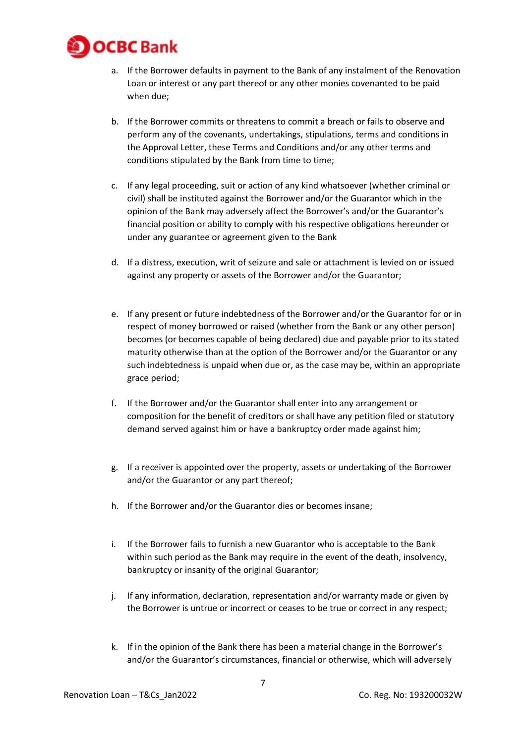

- a. If the Borrower defaults in payment to the Bank of any instalment of the Renovation Loan or interest or any part thereof or any other monies covenanted to be paid when due;
- b. If the Borrower commits or threatens to commit a breach or fails to observe and perform any of the covenants, undertakings, stipulations, terms and conditions in the Approval Letter, these Terms and Conditions and/or any other terms and conditions stipulated by the Bank from time to time;
- c. If any legal proceeding, suit or action of any kind whatsoever (whether criminal or civil) shall be instituted against the Borrower and/or the Guarantor which in the opinion of the Bank may adversely affect the Borrower's and/or the Guarantor's financial position or ability to comply with his respective obligations hereunder or under any guarantee or agreement given to the Bank
- d. If a distress, execution, writ of seizure and sale or attachment is levied on or issued against any property or assets of the Borrower and/or the Guarantor;
- e. If any present or future indebtedness of the Borrower and/or the Guarantor for or in respect of money borrowed or raised (whether from the Bank or any other person) becomes (or becomes capable of being declared) due and payable prior to its stated maturity otherwise than at the option of the Borrower and/or the Guarantor or any such indebtedness is unpaid when due or, as the case may be, within an appropriate grace period;
- f. If the Borrower and/or the Guarantor shall enter into any arrangement or composition for the benefit of creditors or shall have any petition filed or statutory demand served against him or have a bankruptcy order made against him;
- g. If a receiver is appointed over the property, assets or undertaking of the Borrower and/or the Guarantor or any part thereof;
- h. If the Borrower and/or the Guarantor dies or becomes insane;
- i. If the Borrower fails to furnish a new Guarantor who is acceptable to the Bank within such period as the Bank may require in the event of the death, insolvency, bankruptcy or insanity of the original Guarantor;
- j. If any information, declaration, representation and/or warranty made or given by the Borrower is untrue or incorrect or ceases to be true or correct in any respect;
- k. If in the opinion of the Bank there has been a material change in the Borrower's and/or the Guarantor's circumstances, financial or otherwise, which will adversely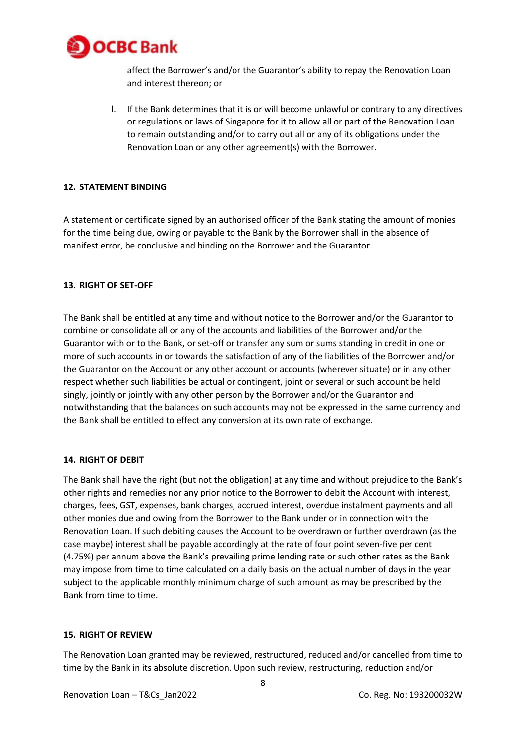

affect the Borrower's and/or the Guarantor's ability to repay the Renovation Loan and interest thereon; or

l. If the Bank determines that it is or will become unlawful or contrary to any directives or regulations or laws of Singapore for it to allow all or part of the Renovation Loan to remain outstanding and/or to carry out all or any of its obligations under the Renovation Loan or any other agreement(s) with the Borrower.

## **12. STATEMENT BINDING**

A statement or certificate signed by an authorised officer of the Bank stating the amount of monies for the time being due, owing or payable to the Bank by the Borrower shall in the absence of manifest error, be conclusive and binding on the Borrower and the Guarantor.

## **13. RIGHT OF SET-OFF**

The Bank shall be entitled at any time and without notice to the Borrower and/or the Guarantor to combine or consolidate all or any of the accounts and liabilities of the Borrower and/or the Guarantor with or to the Bank, or set-off or transfer any sum or sums standing in credit in one or more of such accounts in or towards the satisfaction of any of the liabilities of the Borrower and/or the Guarantor on the Account or any other account or accounts (wherever situate) or in any other respect whether such liabilities be actual or contingent, joint or several or such account be held singly, jointly or jointly with any other person by the Borrower and/or the Guarantor and notwithstanding that the balances on such accounts may not be expressed in the same currency and the Bank shall be entitled to effect any conversion at its own rate of exchange.

### **14. RIGHT OF DEBIT**

The Bank shall have the right (but not the obligation) at any time and without prejudice to the Bank's other rights and remedies nor any prior notice to the Borrower to debit the Account with interest, charges, fees, GST, expenses, bank charges, accrued interest, overdue instalment payments and all other monies due and owing from the Borrower to the Bank under or in connection with the Renovation Loan. If such debiting causes the Account to be overdrawn or further overdrawn (as the case maybe) interest shall be payable accordingly at the rate of four point seven-five per cent (4.75%) per annum above the Bank's prevailing prime lending rate or such other rates as the Bank may impose from time to time calculated on a daily basis on the actual number of days in the year subject to the applicable monthly minimum charge of such amount as may be prescribed by the Bank from time to time.

### **15. RIGHT OF REVIEW**

The Renovation Loan granted may be reviewed, restructured, reduced and/or cancelled from time to time by the Bank in its absolute discretion. Upon such review, restructuring, reduction and/or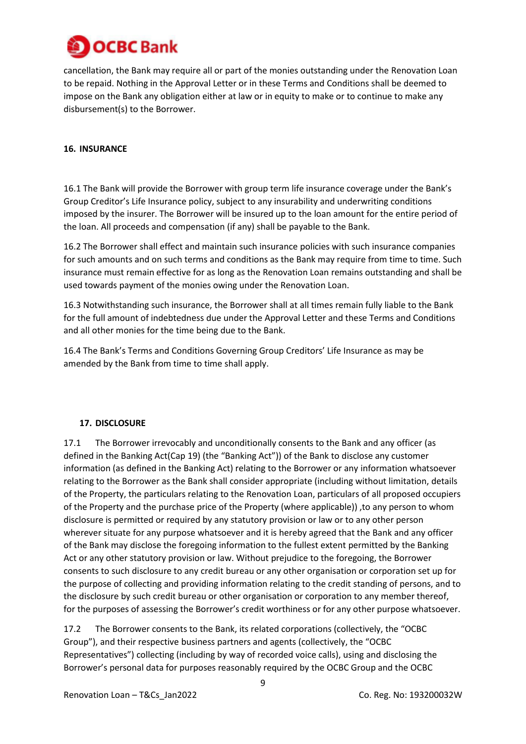

cancellation, the Bank may require all or part of the monies outstanding under the Renovation Loan to be repaid. Nothing in the Approval Letter or in these Terms and Conditions shall be deemed to impose on the Bank any obligation either at law or in equity to make or to continue to make any disbursement(s) to the Borrower.

## **16. INSURANCE**

16.1 The Bank will provide the Borrower with group term life insurance coverage under the Bank's Group Creditor's Life Insurance policy, subject to any insurability and underwriting conditions imposed by the insurer. The Borrower will be insured up to the loan amount for the entire period of the loan. All proceeds and compensation (if any) shall be payable to the Bank.

16.2 The Borrower shall effect and maintain such insurance policies with such insurance companies for such amounts and on such terms and conditions as the Bank may require from time to time. Such insurance must remain effective for as long as the Renovation Loan remains outstanding and shall be used towards payment of the monies owing under the Renovation Loan.

16.3 Notwithstanding such insurance, the Borrower shall at all times remain fully liable to the Bank for the full amount of indebtedness due under the Approval Letter and these Terms and Conditions and all other monies for the time being due to the Bank.

16.4 The Bank's Terms and Conditions Governing Group Creditors' Life Insurance as may be amended by the Bank from time to time shall apply.

# **17. DISCLOSURE**

17.1 The Borrower irrevocably and unconditionally consents to the Bank and any officer (as defined in the Banking Act(Cap 19) (the "Banking Act")) of the Bank to disclose any customer information (as defined in the Banking Act) relating to the Borrower or any information whatsoever relating to the Borrower as the Bank shall consider appropriate (including without limitation, details of the Property, the particulars relating to the Renovation Loan, particulars of all proposed occupiers of the Property and the purchase price of the Property (where applicable)) ,to any person to whom disclosure is permitted or required by any statutory provision or law or to any other person wherever situate for any purpose whatsoever and it is hereby agreed that the Bank and any officer of the Bank may disclose the foregoing information to the fullest extent permitted by the Banking Act or any other statutory provision or law. Without prejudice to the foregoing, the Borrower consents to such disclosure to any credit bureau or any other organisation or corporation set up for the purpose of collecting and providing information relating to the credit standing of persons, and to the disclosure by such credit bureau or other organisation or corporation to any member thereof, for the purposes of assessing the Borrower's credit worthiness or for any other purpose whatsoever.

17.2 The Borrower consents to the Bank, its related corporations (collectively, the "OCBC Group"), and their respective business partners and agents (collectively, the "OCBC Representatives") collecting (including by way of recorded voice calls), using and disclosing the Borrower's personal data for purposes reasonably required by the OCBC Group and the OCBC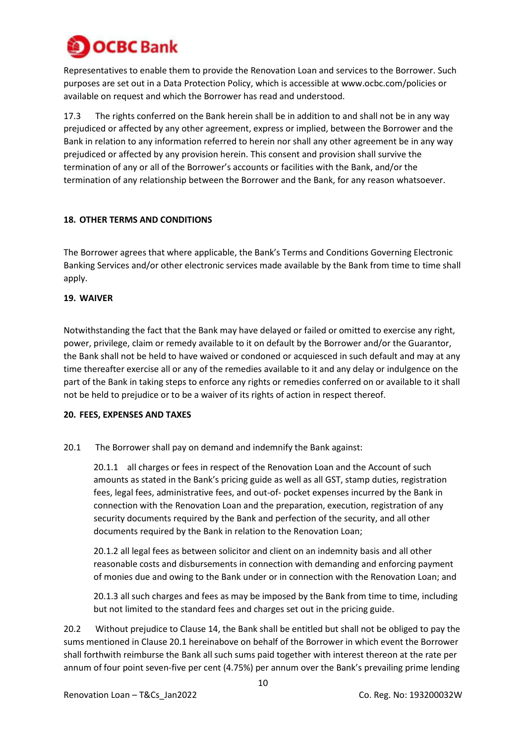

Representatives to enable them to provide the Renovation Loan and services to the Borrower. Such purposes are set out in a Data Protection Policy, which is accessible at www.ocbc.com/policies or available on request and which the Borrower has read and understood.

17.3 The rights conferred on the Bank herein shall be in addition to and shall not be in any way prejudiced or affected by any other agreement, express or implied, between the Borrower and the Bank in relation to any information referred to herein nor shall any other agreement be in any way prejudiced or affected by any provision herein. This consent and provision shall survive the termination of any or all of the Borrower's accounts or facilities with the Bank, and/or the termination of any relationship between the Borrower and the Bank, for any reason whatsoever.

## **18. OTHER TERMS AND CONDITIONS**

The Borrower agrees that where applicable, the Bank's Terms and Conditions Governing Electronic Banking Services and/or other electronic services made available by the Bank from time to time shall apply.

### **19. WAIVER**

Notwithstanding the fact that the Bank may have delayed or failed or omitted to exercise any right, power, privilege, claim or remedy available to it on default by the Borrower and/or the Guarantor, the Bank shall not be held to have waived or condoned or acquiesced in such default and may at any time thereafter exercise all or any of the remedies available to it and any delay or indulgence on the part of the Bank in taking steps to enforce any rights or remedies conferred on or available to it shall not be held to prejudice or to be a waiver of its rights of action in respect thereof.

### **20. FEES, EXPENSES AND TAXES**

20.1 The Borrower shall pay on demand and indemnify the Bank against:

20.1.1 all charges or fees in respect of the Renovation Loan and the Account of such amounts as stated in the Bank's pricing guide as well as all GST, stamp duties, registration fees, legal fees, administrative fees, and out-of- pocket expenses incurred by the Bank in connection with the Renovation Loan and the preparation, execution, registration of any security documents required by the Bank and perfection of the security, and all other documents required by the Bank in relation to the Renovation Loan;

20.1.2 all legal fees as between solicitor and client on an indemnity basis and all other reasonable costs and disbursements in connection with demanding and enforcing payment of monies due and owing to the Bank under or in connection with the Renovation Loan; and

20.1.3 all such charges and fees as may be imposed by the Bank from time to time, including but not limited to the standard fees and charges set out in the pricing guide.

20.2 Without prejudice to Clause 14, the Bank shall be entitled but shall not be obliged to pay the sums mentioned in Clause 20.1 hereinabove on behalf of the Borrower in which event the Borrower shall forthwith reimburse the Bank all such sums paid together with interest thereon at the rate per annum of four point seven-five per cent (4.75%) per annum over the Bank's prevailing prime lending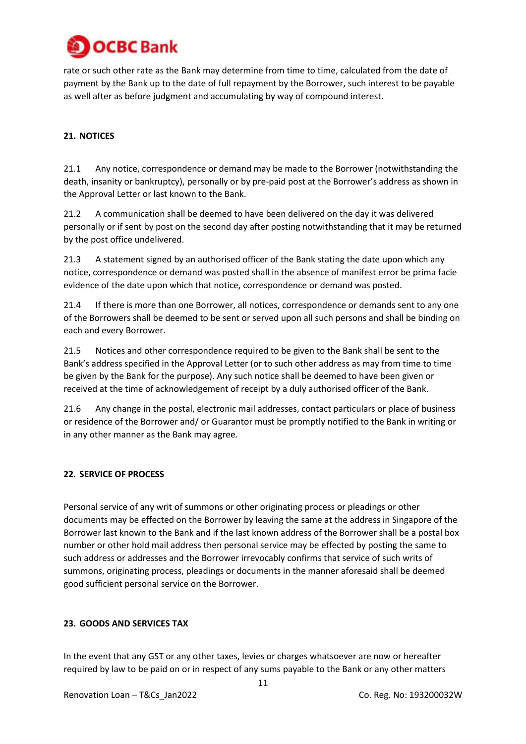

rate or such other rate as the Bank may determine from time to time, calculated from the date of payment by the Bank up to the date of full repayment by the Borrower, such interest to be payable as well after as before judgment and accumulating by way of compound interest.

# **21. NOTICES**

21.1 Any notice, correspondence or demand may be made to the Borrower (notwithstanding the death, insanity or bankruptcy), personally or by pre-paid post at the Borrower's address as shown in the Approval Letter or last known to the Bank.

21.2 A communication shall be deemed to have been delivered on the day it was delivered personally or if sent by post on the second day after posting notwithstanding that it may be returned by the post office undelivered.

21.3 A statement signed by an authorised officer of the Bank stating the date upon which any notice, correspondence or demand was posted shall in the absence of manifest error be prima facie evidence of the date upon which that notice, correspondence or demand was posted.

21.4 If there is more than one Borrower, all notices, correspondence or demands sent to any one of the Borrowers shall be deemed to be sent or served upon all such persons and shall be binding on each and every Borrower.

21.5 Notices and other correspondence required to be given to the Bank shall be sent to the Bank's address specified in the Approval Letter (or to such other address as may from time to time be given by the Bank for the purpose). Any such notice shall be deemed to have been given or received at the time of acknowledgement of receipt by a duly authorised officer of the Bank.

21.6 Any change in the postal, electronic mail addresses, contact particulars or place of business or residence of the Borrower and/ or Guarantor must be promptly notified to the Bank in writing or in any other manner as the Bank may agree.

### **22. SERVICE OF PROCESS**

Personal service of any writ of summons or other originating process or pleadings or other documents may be effected on the Borrower by leaving the same at the address in Singapore of the Borrower last known to the Bank and if the last known address of the Borrower shall be a postal box number or other hold mail address then personal service may be effected by posting the same to such address or addresses and the Borrower irrevocably confirms that service of such writs of summons, originating process, pleadings or documents in the manner aforesaid shall be deemed good sufficient personal service on the Borrower.

# **23. GOODS AND SERVICES TAX**

In the event that any GST or any other taxes, levies or charges whatsoever are now or hereafter required by law to be paid on or in respect of any sums payable to the Bank or any other matters

Renovation Loan – T&Cs\_Jan2022 Co. Reg. No: 193200032W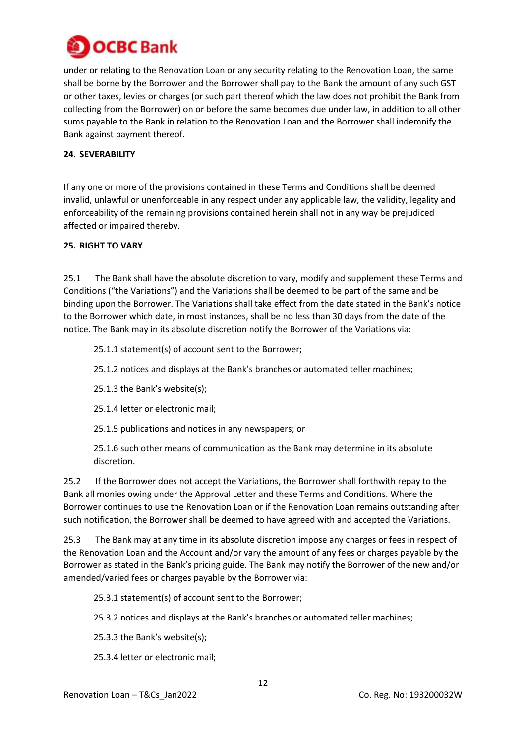

under or relating to the Renovation Loan or any security relating to the Renovation Loan, the same shall be borne by the Borrower and the Borrower shall pay to the Bank the amount of any such GST or other taxes, levies or charges (or such part thereof which the law does not prohibit the Bank from collecting from the Borrower) on or before the same becomes due under law, in addition to all other sums payable to the Bank in relation to the Renovation Loan and the Borrower shall indemnify the Bank against payment thereof.

# **24. SEVERABILITY**

If any one or more of the provisions contained in these Terms and Conditions shall be deemed invalid, unlawful or unenforceable in any respect under any applicable law, the validity, legality and enforceability of the remaining provisions contained herein shall not in any way be prejudiced affected or impaired thereby.

## **25. RIGHT TO VARY**

25.1 The Bank shall have the absolute discretion to vary, modify and supplement these Terms and Conditions ("the Variations") and the Variations shall be deemed to be part of the same and be binding upon the Borrower. The Variations shall take effect from the date stated in the Bank's notice to the Borrower which date, in most instances, shall be no less than 30 days from the date of the notice. The Bank may in its absolute discretion notify the Borrower of the Variations via:

## 25.1.1 statement(s) of account sent to the Borrower;

25.1.2 notices and displays at the Bank's branches or automated teller machines;

25.1.3 the Bank's website(s);

25.1.4 letter or electronic mail;

25.1.5 publications and notices in any newspapers; or

25.1.6 such other means of communication as the Bank may determine in its absolute discretion.

25.2 If the Borrower does not accept the Variations, the Borrower shall forthwith repay to the Bank all monies owing under the Approval Letter and these Terms and Conditions. Where the Borrower continues to use the Renovation Loan or if the Renovation Loan remains outstanding after such notification, the Borrower shall be deemed to have agreed with and accepted the Variations.

25.3 The Bank may at any time in its absolute discretion impose any charges or fees in respect of the Renovation Loan and the Account and/or vary the amount of any fees or charges payable by the Borrower as stated in the Bank's pricing guide. The Bank may notify the Borrower of the new and/or amended/varied fees or charges payable by the Borrower via:

25.3.1 statement(s) of account sent to the Borrower;

25.3.2 notices and displays at the Bank's branches or automated teller machines;

25.3.3 the Bank's website(s);

25.3.4 letter or electronic mail;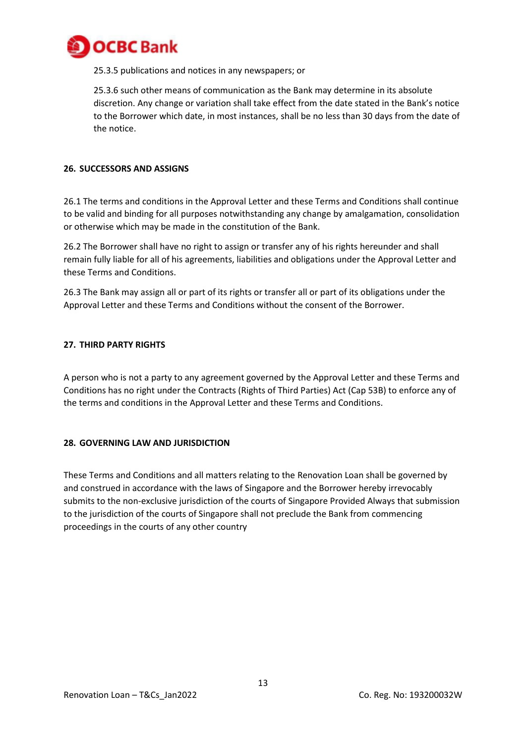

25.3.5 publications and notices in any newspapers; or

25.3.6 such other means of communication as the Bank may determine in its absolute discretion. Any change or variation shall take effect from the date stated in the Bank's notice to the Borrower which date, in most instances, shall be no less than 30 days from the date of the notice.

### **26. SUCCESSORS AND ASSIGNS**

26.1 The terms and conditions in the Approval Letter and these Terms and Conditions shall continue to be valid and binding for all purposes notwithstanding any change by amalgamation, consolidation or otherwise which may be made in the constitution of the Bank.

26.2 The Borrower shall have no right to assign or transfer any of his rights hereunder and shall remain fully liable for all of his agreements, liabilities and obligations under the Approval Letter and these Terms and Conditions.

26.3 The Bank may assign all or part of its rights or transfer all or part of its obligations under the Approval Letter and these Terms and Conditions without the consent of the Borrower.

### **27. THIRD PARTY RIGHTS**

A person who is not a party to any agreement governed by the Approval Letter and these Terms and Conditions has no right under the Contracts (Rights of Third Parties) Act (Cap 53B) to enforce any of the terms and conditions in the Approval Letter and these Terms and Conditions.

### **28. GOVERNING LAW AND JURISDICTION**

These Terms and Conditions and all matters relating to the Renovation Loan shall be governed by and construed in accordance with the laws of Singapore and the Borrower hereby irrevocably submits to the non-exclusive jurisdiction of the courts of Singapore Provided Always that submission to the jurisdiction of the courts of Singapore shall not preclude the Bank from commencing proceedings in the courts of any other country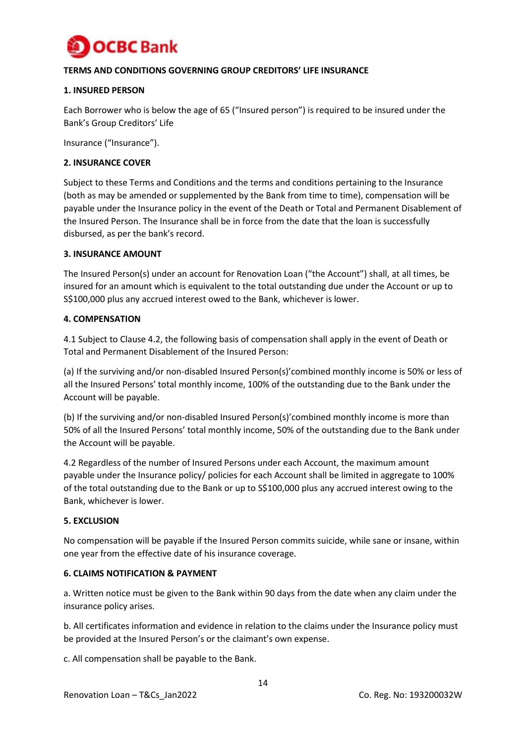

# **TERMS AND CONDITIONS GOVERNING GROUP CREDITORS' LIFE INSURANCE**

## **1. INSURED PERSON**

Each Borrower who is below the age of 65 ("Insured person") is required to be insured under the Bank's Group Creditors' Life

Insurance ("Insurance").

### **2. INSURANCE COVER**

Subject to these Terms and Conditions and the terms and conditions pertaining to the Insurance (both as may be amended or supplemented by the Bank from time to time), compensation will be payable under the Insurance policy in the event of the Death or Total and Permanent Disablement of the Insured Person. The Insurance shall be in force from the date that the loan is successfully disbursed, as per the bank's record.

### **3. INSURANCE AMOUNT**

The Insured Person(s) under an account for Renovation Loan ("the Account") shall, at all times, be insured for an amount which is equivalent to the total outstanding due under the Account or up to S\$100,000 plus any accrued interest owed to the Bank, whichever is lower.

### **4. COMPENSATION**

4.1 Subject to Clause 4.2, the following basis of compensation shall apply in the event of Death or Total and Permanent Disablement of the Insured Person:

(a) If the surviving and/or non-disabled Insured Person(s)'combined monthly income is 50% or less of all the Insured Persons' total monthly income, 100% of the outstanding due to the Bank under the Account will be payable.

(b) If the surviving and/or non-disabled Insured Person(s)'combined monthly income is more than 50% of all the Insured Persons' total monthly income, 50% of the outstanding due to the Bank under the Account will be payable.

4.2 Regardless of the number of Insured Persons under each Account, the maximum amount payable under the Insurance policy/ policies for each Account shall be limited in aggregate to 100% of the total outstanding due to the Bank or up to S\$100,000 plus any accrued interest owing to the Bank, whichever is lower.

### **5. EXCLUSION**

No compensation will be payable if the Insured Person commits suicide, while sane or insane, within one year from the effective date of his insurance coverage.

### **6. CLAIMS NOTIFICATION & PAYMENT**

a. Written notice must be given to the Bank within 90 days from the date when any claim under the insurance policy arises.

b. All certificates information and evidence in relation to the claims under the Insurance policy must be provided at the Insured Person's or the claimant's own expense.

c. All compensation shall be payable to the Bank.